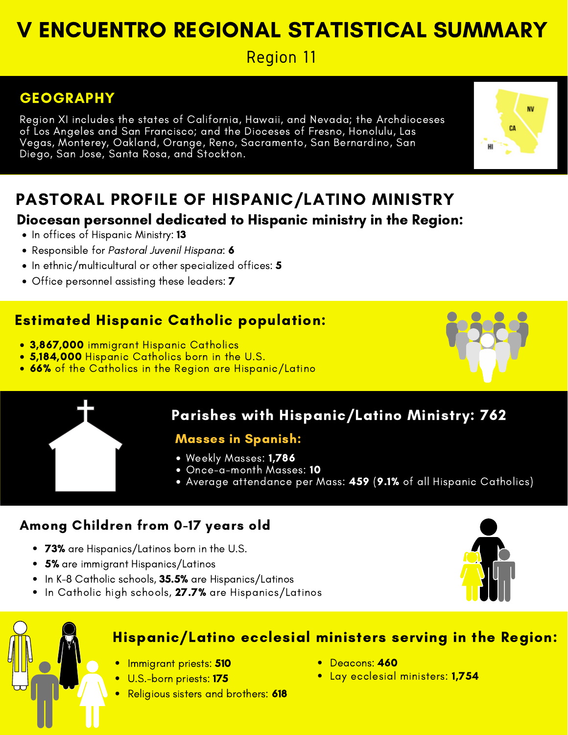# V ENCUENTRO REGIONAL STATISTICAL SUMMARY

Region 11

## GEOGRAPHY

Region XI includes the states of California, Hawaii, and Nevada; the Archdioceses of Los Angeles and San Francisco; and the Dioceses of Fresno, Honolulu, Las Vegas, Monterey, Oakland, Orange, Reno, Sacramento, San Bernardino, San Diego, San Jose, Santa Rosa, and Stockton.

## PASTORAL PROFILE OF HISPANIC/LATINO MINISTRY

### Diocesan personnel dedicated to Hispanic ministry in the Region:

- In offices of Hispanic Ministry: 13
- Responsible for Pastoral Juvenil Hispana: 6
- In ethnic/multicultural or other specialized offices: **5**
- Office personnel assisting these leaders: **7**

## Estimated Hispanic Catholic population:

- 3,867,000 immigrant Hispanic Catholics
- **5,184,000** Hispanic Catholics born in the U.S.
- 66% of the Catholics in the Region are Hispanic/Latino





## Parishes with Hispanic/Latino Ministry: 762

### Masses in Spanish:

- Weekly Masses: 1,786
- Once-a-month Masses: 10
- Average attendance per Mass: 459 (9.1% of all Hispanic Catholics)

### Among Children from 0-17 years old

- 73% are Hispanics/Latinos born in the U.S.
- 5% are immigrant Hispanics/Latinos
- In K-8 Catholic schools, 35.5% are Hispanics/Latinos
- In Catholic high schools, 27.7% are Hispanics/Latinos



## Hispanic/Latino ecclesial ministers serving in the Region:

- **•** Immigrant priests: 510
- U.S.-born priests: 175
- Religious sisters and brothers: 618
- Deacons: 460
- Lay ecclesial ministers: 1,754